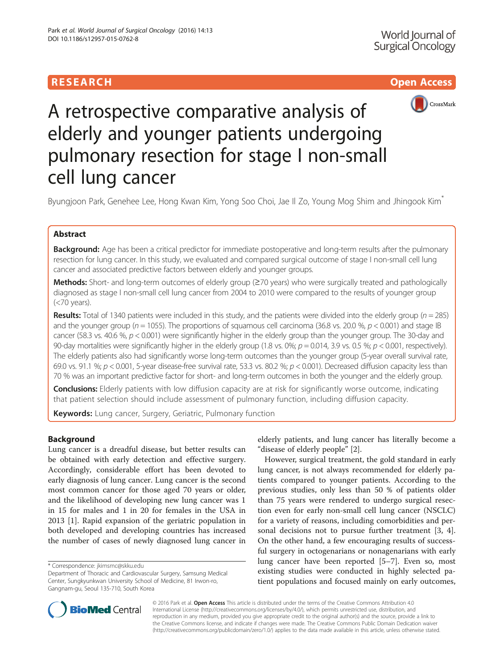# **RESEARCH CHILD CONTROL** CONTROL CONTROL CONTROL CONTROL CONTROL CONTROL CONTROL CONTROL CONTROL CONTROL CONTROL



A retrospective comparative analysis of elderly and younger patients undergoing pulmonary resection for stage I non-small cell lung cancer

Byungjoon Park, Genehee Lee, Hong Kwan Kim, Yong Soo Choi, Jae II Zo, Young Mog Shim and Jhingook Kim<sup>\*</sup>

# Abstract

Background: Age has been a critical predictor for immediate postoperative and long-term results after the pulmonary resection for lung cancer. In this study, we evaluated and compared surgical outcome of stage I non-small cell lung cancer and associated predictive factors between elderly and younger groups.

Methods: Short- and long-term outcomes of elderly group (≥70 years) who were surgically treated and pathologically diagnosed as stage I non-small cell lung cancer from 2004 to 2010 were compared to the results of younger group (<70 years).

Results: Total of 1340 patients were included in this study, and the patients were divided into the elderly group ( $n = 285$ ) and the younger group ( $n = 1055$ ). The proportions of squamous cell carcinoma (36.8 vs. 20.0 %,  $p < 0.001$ ) and stage IB cancer (58.3 vs. 40.6 %,  $p < 0.001$ ) were significantly higher in the elderly group than the younger group. The 30-day and 90-day mortalities were significantly higher in the elderly group (1.8 vs. 0%;  $p = 0.014$ , 3.9 vs. 0.5 %;  $p < 0.001$ , respectively). The elderly patients also had significantly worse long-term outcomes than the younger group (5-year overall survival rate, 69.0 vs. 91.1 %;  $p < 0.001$ , 5-year disease-free survival rate, 53.3 vs. 80.2 %;  $p < 0.001$ ). Decreased diffusion capacity less than 70 % was an important predictive factor for short- and long-term outcomes in both the younger and the elderly group.

**Conclusions:** Elderly patients with low diffusion capacity are at risk for significantly worse outcome, indicating that patient selection should include assessment of pulmonary function, including diffusion capacity.

Keywords: Lung cancer, Surgery, Geriatric, Pulmonary function

# Background

Lung cancer is a dreadful disease, but better results can be obtained with early detection and effective surgery. Accordingly, considerable effort has been devoted to early diagnosis of lung cancer. Lung cancer is the second most common cancer for those aged 70 years or older, and the likelihood of developing new lung cancer was 1 in 15 for males and 1 in 20 for females in the USA in 2013 [\[1](#page-6-0)]. Rapid expansion of the geriatric population in both developed and developing countries has increased the number of cases of newly diagnosed lung cancer in

\* Correspondence: [jkimsmc@skku.edu](mailto:jkimsmc@skku.edu)

elderly patients, and lung cancer has literally become a "disease of elderly people" [[2](#page-6-0)].

However, surgical treatment, the gold standard in early lung cancer, is not always recommended for elderly patients compared to younger patients. According to the previous studies, only less than 50 % of patients older than 75 years were rendered to undergo surgical resection even for early non-small cell lung cancer (NSCLC) for a variety of reasons, including comorbidities and personal decisions not to pursue further treatment [[3, 4](#page-6-0)]. On the other hand, a few encouraging results of successful surgery in octogenarians or nonagenarians with early lung cancer have been reported [\[5](#page-6-0)–[7\]](#page-6-0). Even so, most existing studies were conducted in highly selected patient populations and focused mainly on early outcomes,



© 2016 Park et al. Open Access This article is distributed under the terms of the Creative Commons Attribution 4.0 International License [\(http://creativecommons.org/licenses/by/4.0/](http://creativecommons.org/licenses/by/4.0/)), which permits unrestricted use, distribution, and reproduction in any medium, provided you give appropriate credit to the original author(s) and the source, provide a link to the Creative Commons license, and indicate if changes were made. The Creative Commons Public Domain Dedication waiver [\(http://creativecommons.org/publicdomain/zero/1.0/](http://creativecommons.org/publicdomain/zero/1.0/)) applies to the data made available in this article, unless otherwise stated.

Department of Thoracic and Cardiovascular Surgery, Samsung Medical Center, Sungkyunkwan University School of Medicine, 81 Irwon-ro, Gangnam-gu, Seoul 135-710, South Korea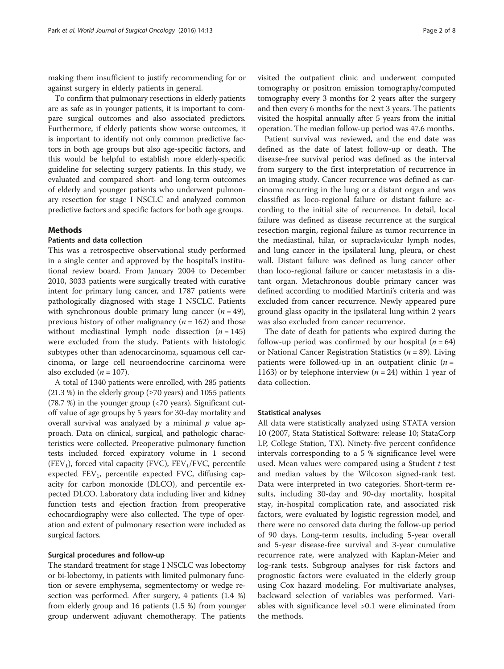making them insufficient to justify recommending for or against surgery in elderly patients in general.

To confirm that pulmonary resections in elderly patients are as safe as in younger patients, it is important to compare surgical outcomes and also associated predictors. Furthermore, if elderly patients show worse outcomes, it is important to identify not only common predictive factors in both age groups but also age-specific factors, and this would be helpful to establish more elderly-specific guideline for selecting surgery patients. In this study, we evaluated and compared short- and long-term outcomes of elderly and younger patients who underwent pulmonary resection for stage I NSCLC and analyzed common predictive factors and specific factors for both age groups.

## Methods

# Patients and data collection

This was a retrospective observational study performed in a single center and approved by the hospital's institutional review board. From January 2004 to December 2010, 3033 patients were surgically treated with curative intent for primary lung cancer, and 1787 patients were pathologically diagnosed with stage I NSCLC. Patients with synchronous double primary lung cancer  $(n = 49)$ , previous history of other malignancy ( $n = 162$ ) and those without mediastinal lymph node dissection  $(n = 145)$ were excluded from the study. Patients with histologic subtypes other than adenocarcinoma, squamous cell carcinoma, or large cell neuroendocrine carcinoma were also excluded  $(n = 107)$ .

A total of 1340 patients were enrolled, with 285 patients  $(21.3 \%)$  in the elderly group ( $\geq 70$  years) and 1055 patients (78.7 %) in the younger group (<70 years). Significant cutoff value of age groups by 5 years for 30-day mortality and overall survival was analyzed by a minimal  $p$  value approach. Data on clinical, surgical, and pathologic characteristics were collected. Preoperative pulmonary function tests included forced expiratory volume in 1 second  $(FEV<sub>1</sub>)$ , forced vital capacity (FVC),  $FEV<sub>1</sub>/FVC$ , percentile expected  $FEV<sub>1</sub>$ , percentile expected FVC, diffusing capacity for carbon monoxide (DLCO), and percentile expected DLCO. Laboratory data including liver and kidney function tests and ejection fraction from preoperative echocardiography were also collected. The type of operation and extent of pulmonary resection were included as surgical factors.

### Surgical procedures and follow-up

The standard treatment for stage I NSCLC was lobectomy or bi-lobectomy, in patients with limited pulmonary function or severe emphysema, segmentectomy or wedge resection was performed. After surgery, 4 patients (1.4 %) from elderly group and 16 patients (1.5 %) from younger group underwent adjuvant chemotherapy. The patients visited the outpatient clinic and underwent computed tomography or positron emission tomography/computed tomography every 3 months for 2 years after the surgery and then every 6 months for the next 3 years. The patients visited the hospital annually after 5 years from the initial operation. The median follow-up period was 47.6 months.

Patient survival was reviewed, and the end date was defined as the date of latest follow-up or death. The disease-free survival period was defined as the interval from surgery to the first interpretation of recurrence in an imaging study. Cancer recurrence was defined as carcinoma recurring in the lung or a distant organ and was classified as loco-regional failure or distant failure according to the initial site of recurrence. In detail, local failure was defined as disease recurrence at the surgical resection margin, regional failure as tumor recurrence in the mediastinal, hilar, or supraclavicular lymph nodes, and lung cancer in the ipsilateral lung, pleura, or chest wall. Distant failure was defined as lung cancer other than loco-regional failure or cancer metastasis in a distant organ. Metachronous double primary cancer was defined according to modified Martini's criteria and was excluded from cancer recurrence. Newly appeared pure ground glass opacity in the ipsilateral lung within 2 years was also excluded from cancer recurrence.

The date of death for patients who expired during the follow-up period was confirmed by our hospital  $(n = 64)$ or National Cancer Registration Statistics ( $n = 89$ ). Living patients were followed-up in an outpatient clinic  $(n =$ 1163) or by telephone interview  $(n = 24)$  within 1 year of data collection.

#### Statistical analyses

All data were statistically analyzed using STATA version 10 (2007, Stata Statistical Software: release 10; StataCorp LP, College Station, TX). Ninety-five percent confidence intervals corresponding to a 5 % significance level were used. Mean values were compared using a Student  $t$  test and median values by the Wilcoxon signed-rank test. Data were interpreted in two categories. Short-term results, including 30-day and 90-day mortality, hospital stay, in-hospital complication rate, and associated risk factors, were evaluated by logistic regression model, and there were no censored data during the follow-up period of 90 days. Long-term results, including 5-year overall and 5-year disease-free survival and 3-year cumulative recurrence rate, were analyzed with Kaplan-Meier and log-rank tests. Subgroup analyses for risk factors and prognostic factors were evaluated in the elderly group using Cox hazard modeling. For multivariate analyses, backward selection of variables was performed. Variables with significance level >0.1 were eliminated from the methods.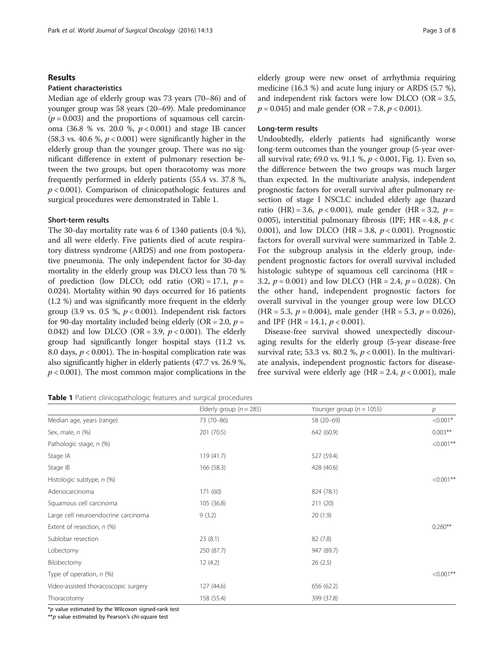## Results

# Patient characteristics

Median age of elderly group was 73 years (70–86) and of younger group was 58 years (20–69). Male predominance  $(p = 0.003)$  and the proportions of squamous cell carcinoma (36.8 % vs. 20.0 %,  $p < 0.001$ ) and stage IB cancer (58.3 vs. 40.6 %,  $p < 0.001$ ) were significantly higher in the elderly group than the younger group. There was no significant difference in extent of pulmonary resection between the two groups, but open thoracotomy was more frequently performed in elderly patients (55.4 vs. 37.8 %,  $p < 0.001$ ). Comparison of clinicopathologic features and surgical procedures were demonstrated in Table 1.

# Short-term results

The 30-day mortality rate was 6 of 1340 patients (0.4 %), and all were elderly. Five patients died of acute respiratory distress syndrome (ARDS) and one from postoperative pneumonia. The only independent factor for 30-day mortality in the elderly group was DLCO less than 70 % of prediction (low DLCO; odd ratio  $(OR) = 17.1$ ,  $p =$ 0.024). Mortality within 90 days occurred for 16 patients (1.2 %) and was significantly more frequent in the elderly group (3.9 vs. 0.5 %,  $p < 0.001$ ). Independent risk factors for 90-day mortality included being elderly (OR = 2.0,  $p =$ 0.042) and low DLCO (OR = 3.9,  $p < 0.001$ ). The elderly group had significantly longer hospital stays (11.2 vs. 8.0 days,  $p < 0.001$ ). The in-hospital complication rate was also significantly higher in elderly patients (47.7 vs. 26.9 %,  $p < 0.001$ ). The most common major complications in the elderly group were new onset of arrhythmia requiring medicine (16.3 %) and acute lung injury or ARDS (5.7 %), and independent risk factors were low DLCO (OR = 3.5,  $p = 0.045$ ) and male gender (OR = 7.8,  $p < 0.001$ ).

#### Long-term results

Undoubtedly, elderly patients had significantly worse long-term outcomes than the younger group (5-year overall survival rate; 69.0 vs. 91.1 %, p < 0.001, Fig. [1](#page-3-0)). Even so, the difference between the two groups was much larger than expected. In the multivariate analysis, independent prognostic factors for overall survival after pulmonary resection of stage I NSCLC included elderly age (hazard ratio (HR) = 3.6,  $p < 0.001$ ), male gender (HR = 3.2,  $p =$ 0.005), interstitial pulmonary fibrosis (IPF;  $HR = 4.8$ ,  $p <$ 0.001), and low DLCO (HR = 3.8,  $p < 0.001$ ). Prognostic factors for overall survival were summarized in Table [2](#page-4-0). For the subgroup analysis in the elderly group, independent prognostic factors for overall survival included histologic subtype of squamous cell carcinoma (HR = 3.2,  $p = 0.001$ ) and low DLCO (HR = 2.4,  $p = 0.028$ ). On the other hand, independent prognostic factors for overall survival in the younger group were low DLCO  $(HR = 5.3, p = 0.004)$ , male gender  $(HR = 5.3, p = 0.026)$ , and IPF (HR = 14.1,  $p < 0.001$ ).

Disease-free survival showed unexpectedly discouraging results for the elderly group (5-year disease-free survival rate; 53.3 vs. 80.2 %,  $p < 0.001$ ). In the multivariate analysis, independent prognostic factors for diseasefree survival were elderly age (HR = 2.4,  $p < 0.001$ ), male

Table 1 Patient clinicopathologic features and surgical procedures

|                                      | Elderly group ( $n = 285$ ) | Younger group ( $n = 1055$ ) | р            |
|--------------------------------------|-----------------------------|------------------------------|--------------|
| Median age, years (range)            | 73 (70-86)                  | 58 (20-69)                   | $< 0.001*$   |
| Sex, male, n (%)                     | 201 (70.5)                  | 642 (60.9)                   | $0.003***$   |
| Pathologic stage, n (%)              |                             |                              | $< 0.001$ ** |
| Stage IA                             | 119 (41.7)                  | 527 (59.4)                   |              |
| Stage IB                             | 166 (58.3)                  | 428 (40.6)                   |              |
| Histologic subtype, n (%)            |                             |                              | $< 0.001$ ** |
| Adenocarcinoma                       | 171 (60)                    | 824 (78.1)                   |              |
| Squamous cell carcinoma              | 105 (36.8)                  | 211 (20)                     |              |
| Large cell neuroendocrine carcinoma  | 9(3.2)                      | 20(1.9)                      |              |
| Extent of resection, n (%)           |                             |                              | $0.280**$    |
| Sublobar resection                   | 23(8.1)                     | 82 (7.8)                     |              |
| Lobectomy                            | 250 (87.7)                  | 947 (89.7)                   |              |
| Bilobectomy                          | 12(4.2)                     | 26(2.5)                      |              |
| Type of operation, $n$ (%)           |                             |                              | $< 0.001$ ** |
| Video-assisted thoracoscopic surgery | 127(44.6)                   | 656 (62.2)                   |              |
| Thoracotomy                          | 158 (55.4)                  | 399 (37.8)                   |              |

\*p value estimated by the Wilcoxon signed-rank test

 $*p$  value estimated by Pearson's chi-square test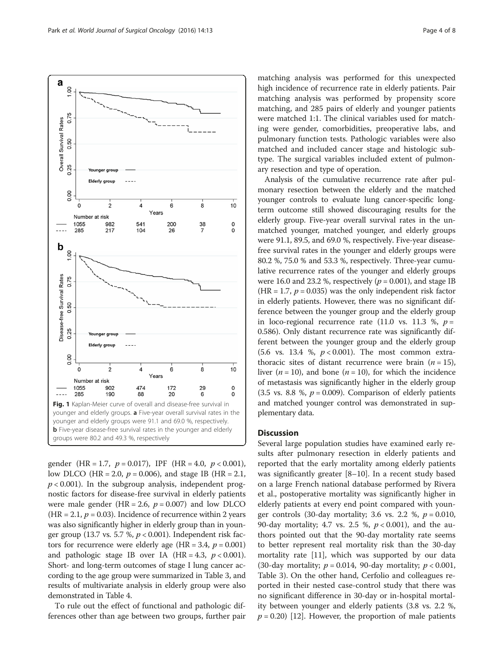<span id="page-3-0"></span>

gender (HR = 1.7,  $p = 0.017$ ), IPF (HR = 4.0,  $p < 0.001$ ), low DLCO (HR = 2.0,  $p = 0.006$ ), and stage IB (HR = 2.1,  $p < 0.001$ ). In the subgroup analysis, independent prognostic factors for disease-free survival in elderly patients were male gender (HR = 2.6,  $p = 0.007$ ) and low DLCO  $(HR = 2.1, p = 0.03)$ . Incidence of recurrence within 2 years was also significantly higher in elderly group than in younger group (13.7 vs. 5.7 %,  $p < 0.001$ ). Independent risk factors for recurrence were elderly age (HR = 3.4,  $p = 0.001$ ) and pathologic stage IB over IA  $(HR = 4.3, p < 0.001)$ . Short- and long-term outcomes of stage I lung cancer according to the age group were summarized in Table [3](#page-4-0), and results of multivariate analysis in elderly group were also demonstrated in Table [4](#page-5-0).

To rule out the effect of functional and pathologic differences other than age between two groups, further pair

matching analysis was performed for this unexpected high incidence of recurrence rate in elderly patients. Pair matching analysis was performed by propensity score matching, and 285 pairs of elderly and younger patients were matched 1:1. The clinical variables used for matching were gender, comorbidities, preoperative labs, and pulmonary function tests. Pathologic variables were also matched and included cancer stage and histologic subtype. The surgical variables included extent of pulmonary resection and type of operation.

Analysis of the cumulative recurrence rate after pulmonary resection between the elderly and the matched younger controls to evaluate lung cancer-specific longterm outcome still showed discouraging results for the elderly group. Five-year overall survival rates in the unmatched younger, matched younger, and elderly groups were 91.1, 89.5, and 69.0 %, respectively. Five-year diseasefree survival rates in the younger and elderly groups were 80.2 %, 75.0 % and 53.3 %, respectively. Three-year cumulative recurrence rates of the younger and elderly groups were 16.0 and 23.2 %, respectively ( $p = 0.001$ ), and stage IB (HR = 1.7,  $p = 0.035$ ) was the only independent risk factor in elderly patients. However, there was no significant difference between the younger group and the elderly group in loco-regional recurrence rate (11.0 vs. 11.3 %,  $p =$ 0.586). Only distant recurrence rate was significantly different between the younger group and the elderly group (5.6 vs. 13.4 %,  $p < 0.001$ ). The most common extrathoracic sites of distant recurrence were brain  $(n = 15)$ , liver ( $n = 10$ ), and bone ( $n = 10$ ), for which the incidence of metastasis was significantly higher in the elderly group (3.5 vs. 8.8 %,  $p = 0.009$ ). Comparison of elderly patients and matched younger control was demonstrated in supplementary data.

# **Discussion**

Several large population studies have examined early results after pulmonary resection in elderly patients and reported that the early mortality among elderly patients was significantly greater [\[8](#page-6-0)–[10\]](#page-6-0). In a recent study based on a large French national database performed by Rivera et al., postoperative mortality was significantly higher in elderly patients at every end point compared with younger controls (30-day mortality; 3.6 vs. 2.2 %,  $p = 0.010$ , 90-day mortality; 4.7 vs. 2.5 %,  $p < 0.001$ ), and the authors pointed out that the 90-day mortality rate seems to better represent real mortality risk than the 30-day mortality rate [\[11\]](#page-6-0), which was supported by our data (30-day mortality;  $p = 0.014$ , 90-day mortality;  $p < 0.001$ , Table [3](#page-4-0)). On the other hand, Cerfolio and colleagues reported in their nested case-control study that there was no significant difference in 30-day or in-hospital mortality between younger and elderly patients (3.8 vs. 2.2 %,  $p = 0.20$  [\[12](#page-6-0)]. However, the proportion of male patients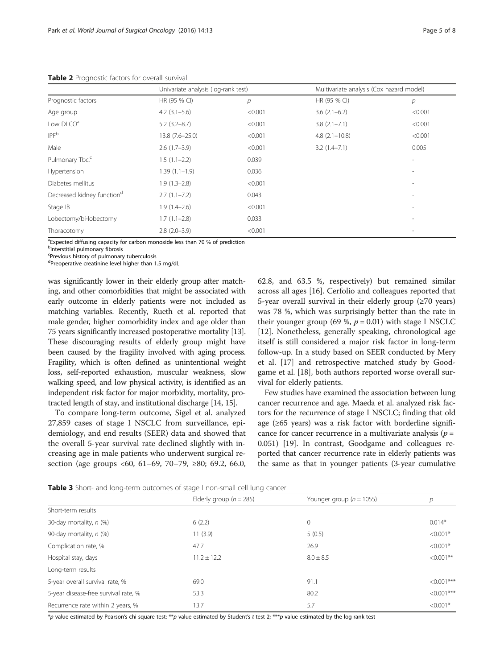|                                        | Univariate analysis (log-rank test) |         | Multivariate analysis (Cox hazard model) |                          |
|----------------------------------------|-------------------------------------|---------|------------------------------------------|--------------------------|
| Prognostic factors                     | HR (95 % CI)                        | р       | HR (95 % CI)                             | р                        |
| Age group                              | $4.2(3.1-5.6)$                      | < 0.001 | $3.6(2.1-6.2)$                           | < 0.001                  |
| Low DLCO <sup>a</sup>                  | $5.2(3.2 - 8.7)$                    | < 0.001 | $3.8$ $(2.1 - 7.1)$                      | < 0.001                  |
| IPF <sup>b</sup>                       | $13.8(7.6 - 25.0)$                  | < 0.001 | $4.8$ $(2.1 - 10.8)$                     | < 0.001                  |
| Male                                   | $2.6(1.7-3.9)$                      | < 0.001 | $3.2(1.4 - 7.1)$                         | 0.005                    |
| Pulmonary Tbc. <sup>c</sup>            | $1.5(1.1-2.2)$                      | 0.039   |                                          |                          |
| Hypertension                           | $1.39(1.1-1.9)$                     | 0.036   |                                          | ٠                        |
| Diabetes mellitus                      | $1.9(1.3-2.8)$                      | < 0.001 |                                          |                          |
| Decreased kidney function <sup>d</sup> | $2.7(1.1 - 7.2)$                    | 0.043   |                                          | $\overline{\phantom{a}}$ |
| Stage IB                               | $1.9(1.4-2.6)$                      | < 0.001 |                                          |                          |
| Lobectomy/bi-lobectomy                 | $1.7(1.1-2.8)$                      | 0.033   |                                          |                          |
| Thoracotomy                            | $2.8(2.0-3.9)$                      | < 0.001 |                                          |                          |

<span id="page-4-0"></span>Table 2 Prognostic factors for overall survival

<sup>a</sup>Expected diffusing capacity for carbon monoxide less than 70 % of prediction

<sup>b</sup>Interstitial pulmonary fibrosis

<sup>c</sup>Previous history of pulmonary tuberculosis

<sup>d</sup>Preoperative creatinine level higher than 1.5 mg/dL

was significantly lower in their elderly group after matching, and other comorbidities that might be associated with early outcome in elderly patients were not included as matching variables. Recently, Rueth et al. reported that male gender, higher comorbidity index and age older than 75 years significantly increased postoperative mortality [\[13](#page-6-0)]. These discouraging results of elderly group might have been caused by the fragility involved with aging process. Fragility, which is often defined as unintentional weight loss, self-reported exhaustion, muscular weakness, slow walking speed, and low physical activity, is identified as an independent risk factor for major morbidity, mortality, protracted length of stay, and institutional discharge [\[14, 15\]](#page-6-0).

To compare long-term outcome, Sigel et al. analyzed 27,859 cases of stage I NSCLC from surveillance, epidemiology, and end results (SEER) data and showed that the overall 5-year survival rate declined slightly with increasing age in male patients who underwent surgical resection (age groups <60, 61–69, 70–79,  $\geq 80$ ; 69.2, 66.0, 62.8, and 63.5 %, respectively) but remained similar across all ages [[16](#page-6-0)]. Cerfolio and colleagues reported that 5-year overall survival in their elderly group (≥70 years) was 78 %, which was surprisingly better than the rate in their younger group (69 %,  $p = 0.01$ ) with stage I NSCLC [[12\]](#page-6-0). Nonetheless, generally speaking, chronological age itself is still considered a major risk factor in long-term follow-up. In a study based on SEER conducted by Mery et al. [[17\]](#page-6-0) and retrospective matched study by Goodgame et al. [[18\]](#page-6-0), both authors reported worse overall survival for elderly patients.

Few studies have examined the association between lung cancer recurrence and age. Maeda et al. analyzed risk factors for the recurrence of stage I NSCLC; finding that old age (≥65 years) was a risk factor with borderline significance for cancer recurrence in a multivariate analysis ( $p =$ 0.051) [[19](#page-6-0)]. In contrast, Goodgame and colleagues reported that cancer recurrence rate in elderly patients was the same as that in younger patients (3-year cumulative

Table 3 Short- and long-term outcomes of stage I non-small cell lung cancer

|                                      | Elderly group ( $n = 285$ ) | Younger group ( $n = 1055$ ) | р             |
|--------------------------------------|-----------------------------|------------------------------|---------------|
| Short-term results                   |                             |                              |               |
| 30-day mortality, n (%)              | 6(2.2)                      | $\mathbf{0}$                 | $0.014*$      |
| 90-day mortality, n (%)              | 11(3.9)                     | 5(0.5)                       | $< 0.001*$    |
| Complication rate, %                 | 47.7                        | 26.9                         | $< 0.001*$    |
| Hospital stay, days                  | $11.2 \pm 12.2$             | $8.0 \pm 8.5$                | $< 0.001$ **  |
| Long-term results                    |                             |                              |               |
| 5-year overall survival rate, %      | 69.0                        | 91.1                         | $<0.001***$   |
| 5-year disease-free survival rate, % | 53.3                        | 80.2                         | $< 0.001$ *** |
| Recurrence rate within 2 years, %    | 13.7                        | 5.7                          | $< 0.001*$    |

\*p value estimated by Pearson's chi-square test: \*\*p value estimated by Student's t test 2; \*\*\*p value estimated by the log-rank test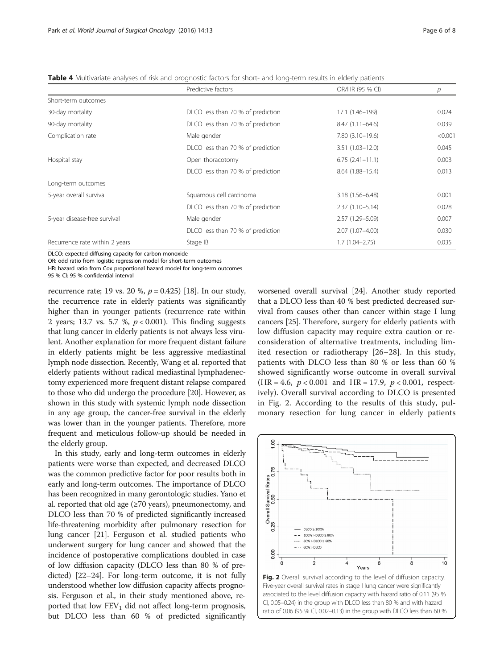<span id="page-5-0"></span>

|  |  | <b>Table 4</b> Multivariate analyses of risk and prognostic factors for short- and long-term results in elderly patients |
|--|--|--------------------------------------------------------------------------------------------------------------------------|
|  |  |                                                                                                                          |

|                                | Predictive factors                | OR/HR (95 % CI)     | р       |
|--------------------------------|-----------------------------------|---------------------|---------|
| Short-term outcomes            |                                   |                     |         |
| 30-day mortality               | DLCO less than 70 % of prediction | 17.1 (1.46-199)     | 0.024   |
| 90-day mortality               | DLCO less than 70 % of prediction | $8.47(1.11 - 64.6)$ | 0.039   |
| Complication rate              | Male gender                       | $7.80(3.10-19.6)$   | < 0.001 |
|                                | DLCO less than 70 % of prediction | $3.51(1.03 - 12.0)$ | 0.045   |
| Hospital stay                  | Open thoracotomy                  | $6.75(2.41-11.1)$   | 0.003   |
|                                | DLCO less than 70 % of prediction | $8.64(1.88-15.4)$   | 0.013   |
| Long-term outcomes             |                                   |                     |         |
| 5-year overall survival        | Squamous cell carcinoma           | $3.18(1.56 - 6.48)$ | 0.001   |
|                                | DLCO less than 70 % of prediction | $2.37(1.10 - 5.14)$ | 0.028   |
| 5-year disease-free survival   | Male gender                       | 2.57 (1.29 - 5.09)  | 0.007   |
|                                | DLCO less than 70 % of prediction | 2.07 (1.07-4.00)    | 0.030   |
| Recurrence rate within 2 years | Stage IB                          | $1.7(1.04 - 2.75)$  | 0.035   |

DLCO: expected diffusing capacity for carbon monoxide

OR: odd ratio from logistic regression model for short-term outcomes

HR: hazard ratio from Cox proportional hazard model for long-term outcomes

95 % CI: 95 % confidential interval

recurrence rate; 19 vs. 20 %,  $p = 0.425$ ) [\[18\]](#page-6-0). In our study, the recurrence rate in elderly patients was significantly higher than in younger patients (recurrence rate within 2 years; 13.7 vs. 5.7 %,  $p < 0.001$ ). This finding suggests that lung cancer in elderly patients is not always less virulent. Another explanation for more frequent distant failure in elderly patients might be less aggressive mediastinal lymph node dissection. Recently, Wang et al. reported that elderly patients without radical mediastinal lymphadenectomy experienced more frequent distant relapse compared to those who did undergo the procedure [[20](#page-7-0)]. However, as shown in this study with systemic lymph node dissection in any age group, the cancer-free survival in the elderly was lower than in the younger patients. Therefore, more frequent and meticulous follow-up should be needed in the elderly group.

In this study, early and long-term outcomes in elderly patients were worse than expected, and decreased DLCO was the common predictive factor for poor results both in early and long-term outcomes. The importance of DLCO has been recognized in many gerontologic studies. Yano et al. reported that old age  $(\geq 70 \text{ years})$ , pneumonectomy, and DLCO less than 70 % of predicted significantly increased life-threatening morbidity after pulmonary resection for lung cancer [\[21\]](#page-7-0). Ferguson et al. studied patients who underwent surgery for lung cancer and showed that the incidence of postoperative complications doubled in case of low diffusion capacity (DLCO less than 80 % of predicted) [\[22](#page-7-0)–[24](#page-7-0)]. For long-term outcome, it is not fully understood whether low diffusion capacity affects prognosis. Ferguson et al., in their study mentioned above, reported that low  $FEV<sub>1</sub>$  did not affect long-term prognosis, but DLCO less than 60 % of predicted significantly worsened overall survival [\[24\]](#page-7-0). Another study reported that a DLCO less than 40 % best predicted decreased survival from causes other than cancer within stage I lung cancers [\[25](#page-7-0)]. Therefore, surgery for elderly patients with low diffusion capacity may require extra caution or reconsideration of alternative treatments, including limited resection or radiotherapy [\[26](#page-7-0)–[28](#page-7-0)]. In this study, patients with DLCO less than 80 % or less than 60 % showed significantly worse outcome in overall survival  $(HR = 4.6, p < 0.001$  and  $HR = 17.9, p < 0.001$ , respectively). Overall survival according to DLCO is presented in Fig. 2. According to the results of this study, pulmonary resection for lung cancer in elderly patients

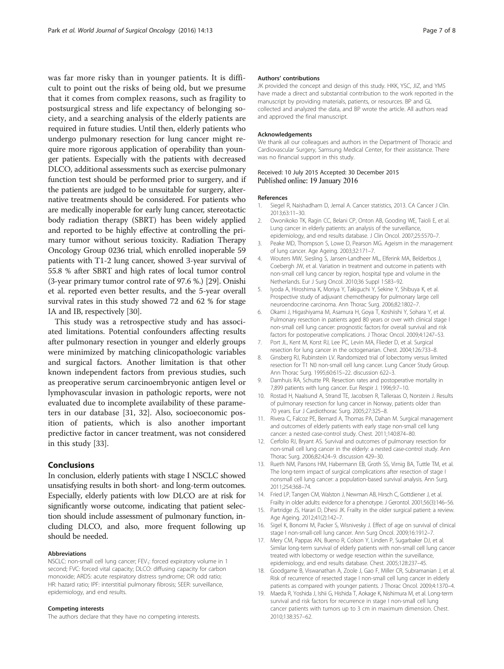<span id="page-6-0"></span>was far more risky than in younger patients. It is difficult to point out the risks of being old, but we presume that it comes from complex reasons, such as fragility to postsurgical stress and life expectancy of belonging society, and a searching analysis of the elderly patients are required in future studies. Until then, elderly patients who undergo pulmonary resection for lung cancer might require more rigorous application of operability than younger patients. Especially with the patients with decreased DLCO, additional assessments such as exercise pulmonary function test should be performed prior to surgery, and if the patients are judged to be unsuitable for surgery, alternative treatments should be considered. For patients who are medically inoperable for early lung cancer, stereotactic body radiation therapy (SBRT) has been widely applied and reported to be highly effective at controlling the primary tumor without serious toxicity. Radiation Therapy Oncology Group 0236 trial, which enrolled inoperable 59 patients with T1-2 lung cancer, showed 3-year survival of 55.8 % after SBRT and high rates of local tumor control (3-year primary tumor control rate of 97.6 %.) [\[29\]](#page-7-0). Onishi et al. reported even better results, and the 5-year overall survival rates in this study showed 72 and 62 % for stage IA and IB, respectively [[30](#page-7-0)].

This study was a retrospective study and has associated limitations. Potential confounders affecting results after pulmonary resection in younger and elderly groups were minimized by matching clinicopathologic variables and surgical factors. Another limitation is that other known independent factors from previous studies, such as preoperative serum carcinoembryonic antigen level or lymphovascular invasion in pathologic reports, were not evaluated due to incomplete availability of these parameters in our database [\[31, 32](#page-7-0)]. Also, socioeconomic position of patients, which is also another important predictive factor in cancer treatment, was not considered in this study [\[33](#page-7-0)].

## Conclusions

In conclusion, elderly patients with stage I NSCLC showed unsatisfying results in both short- and long-term outcomes. Especially, elderly patients with low DLCO are at risk for significantly worse outcome, indicating that patient selection should include assessment of pulmonary function, including DLCO, and also, more frequent following up should be needed.

#### Abbreviations

NSCLC: non-small cell lung cancer; FEV<sub>1</sub>: forced expiratory volume in 1 second; FVC: forced vital capacity; DLCO: diffusing capacity for carbon monoxide; ARDS: acute respiratory distress syndrome; OR: odd ratio; HR: hazard ratio; IPF: interstitial pulmonary fibrosis; SEER: surveillance, epidemiology, and end results.

#### Competing interests

The authors declare that they have no competing interests.

#### Authors' contributions

JK provided the concept and design of this study. HKK, YSC, JIZ, and YMS have made a direct and substantial contribution to the work reported in the manuscript by providing materials, patients, or resources. BP and GL collected and analyzed the data, and BP wrote the article. All authors read and approved the final manuscript.

#### Acknowledgements

We thank all our colleagues and authors in the Department of Thoracic and Cardiovascular Surgery, Samsung Medical Center, for their assistance. There was no financial support in this study.

#### Received: 10 July 2015 Accepted: 30 December 2015 Published online: 19 January 2016

#### References

- 1. Siegel R, Naishadham D, Jemal A. Cancer statistics, 2013. CA Cancer J Clin. 2013;63:11–30.
- 2. Owonikoko TK, Ragin CC, Belani CP, Onton AB, Gooding WE, Taioli E, et al. Lung cancer in elderly patients: an analysis of the surveillance, epidemiology, and end results database. J Clin Oncol. 2007;25:5570–7.
- Peake MD, Thompson S, Lowe D, Pearson MG. Ageism in the management of lung cancer. Age Ageing. 2003;32:171–7.
- 4. Wouters MW, Siesling S, Jansen-Landheer ML, Elferink MA, Belderbos J, Coebergh JW, et al. Variation in treatment and outcome in patients with non-small cell lung cancer by region, hospital type and volume in the Netherlands. Eur J Surg Oncol. 2010;36 Suppl 1:S83–92.
- 5. Iyoda A, Hiroshima K, Moriya Y, Takiguchi Y, Sekine Y, Shibuya K, et al. Prospective study of adjuvant chemotherapy for pulmonary large cell neuroendocrine carcinoma. Ann Thorac Surg. 2006;82:1802–7.
- 6. Okami J, Higashiyama M, Asamura H, Goya T, Koshiishi Y, Sohara Y, et al. Pulmonary resection in patients aged 80 years or over with clinical stage I non-small cell lung cancer: prognostic factors for overall survival and risk factors for postoperative complications. J Thorac Oncol. 2009;4:1247–53.
- 7. Port JL, Kent M, Korst RJ, Lee PC, Levin MA, Flieder D, et al. Surgical resection for lung cancer in the octogenarian. Chest. 2004;126:733–8.
- 8. Ginsberg RJ, Rubinstein LV. Randomized trial of lobectomy versus limited resection for T1 N0 non-small cell lung cancer. Lung Cancer Study Group. Ann Thorac Surg. 1995;60:615–22. discussion 622–3.
- 9. Damhuis RA, Schutte PR. Resection rates and postoperative mortality in 7,899 patients with lung cancer. Eur Respir J. 1996;9:7–10.
- 10. Rostad H, Naalsund A, Strand TE, Jacobsen R, Talleraas O, Norstein J. Results of pulmonary resection for lung cancer in Norway, patients older than 70 years. Eur J Cardiothorac Surg. 2005;27:325–8.
- 11. Rivera C, Falcoz PE, Bernard A, Thomas PA, Dahan M. Surgical management and outcomes of elderly patients with early stage non-small cell lung cancer: a nested case-control study. Chest. 2011;140:874–80.
- 12. Cerfolio RJ, Bryant AS. Survival and outcomes of pulmonary resection for non-small cell lung cancer in the elderly: a nested case-control study. Ann Thorac Surg. 2006;82:424–9. discussion 429–30.
- 13. Rueth NM, Parsons HM, Habermann EB, Groth SS, Virnig BA, Tuttle TM, et al. The long-term impact of surgical complications after resection of stage I nonsmall cell lung cancer: a population-based survival analysis. Ann Surg. 2011;254:368–74.
- 14. Fried LP, Tangen CM, Walston J, Newman AB, Hirsch C, Gottdiener J, et al.
- Frailty in older adults: evidence for a phenotype. J Gerontol. 2001;56(3):146–56. 15. Partridge JS, Harari D, Dhesi JK. Frailty in the older surgical patient: a review. Age Ageing. 2012;41(2):142–7.
- 16. Sigel K, Bonomi M, Packer S, Wisnivesky J. Effect of age on survival of clinical stage I non-small-cell lung cancer. Ann Surg Oncol. 2009;16:1912–7.
- 17. Mery CM, Pappas AN, Bueno R, Colson Y, Linden P, Sugarbaker DJ, et al. Similar long-term survival of elderly patients with non-small cell lung cancer treated with lobectomy or wedge resection within the surveillance, epidemiology, and end results database. Chest. 2005;128:237–45.
- 18. Goodgame B, Viswanathan A, Zoole J, Gao F, Miller CR, Subramanian J, et al. Risk of recurrence of resected stage I non-small cell lung cancer in elderly patients as compared with younger patients. J Thorac Oncol. 2009;4:1370–4.
- 19. Maeda R, Yoshida J, Ishii G, Hishida T, Aokage K, Nishimura M, et al. Long-term survival and risk factors for recurrence in stage I non-small cell lung cancer patients with tumors up to 3 cm in maximum dimension. Chest. 2010;138:357–62.